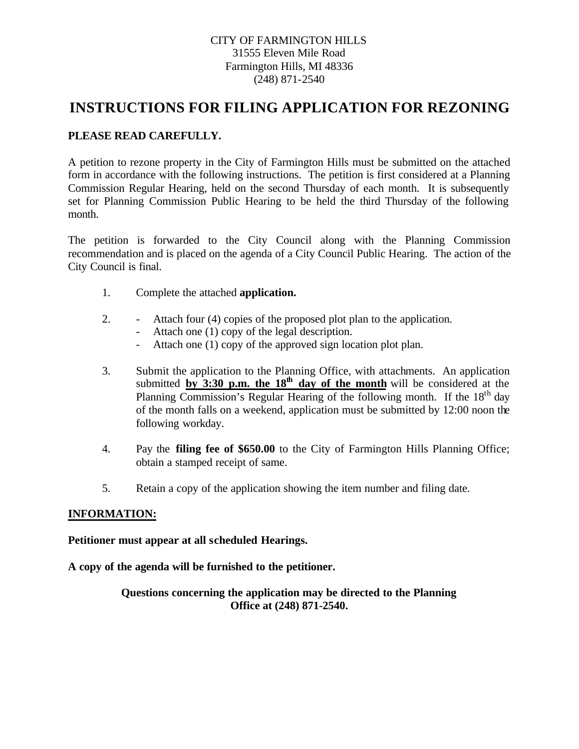## CITY OF FARMINGTON HILLS 31555 Eleven Mile Road Farmington Hills, MI 48336 (248) 871-2540

# **INSTRUCTIONS FOR FILING APPLICATION FOR REZONING**

# **PLEASE READ CAREFULLY.**

A petition to rezone property in the City of Farmington Hills must be submitted on the attached form in accordance with the following instructions. The petition is first considered at a Planning Commission Regular Hearing, held on the second Thursday of each month. It is subsequently set for Planning Commission Public Hearing to be held the third Thursday of the following month.

The petition is forwarded to the City Council along with the Planning Commission recommendation and is placed on the agenda of a City Council Public Hearing. The action of the City Council is final.

- 1. Complete the attached **application.**
- 2. Attach four (4) copies of the proposed plot plan to the application.
	- Attach one (1) copy of the legal description.
	- Attach one (1) copy of the approved sign location plot plan.
- 3. Submit the application to the Planning Office, with attachments. An application submitted by  $3:30$  p.m. the  $18<sup>th</sup>$  day of the month will be considered at the Planning Commission's Regular Hearing of the following month. If the  $18<sup>th</sup>$  day of the month falls on a weekend, application must be submitted by 12:00 noon the following workday.
- 4. Pay the **filing fee of \$650.00** to the City of Farmington Hills Planning Office; obtain a stamped receipt of same.
- 5. Retain a copy of the application showing the item number and filing date.

## **INFORMATION:**

**Petitioner must appear at all scheduled Hearings.**

**A copy of the agenda will be furnished to the petitioner.**

**Questions concerning the application may be directed to the Planning Office at (248) 871-2540.**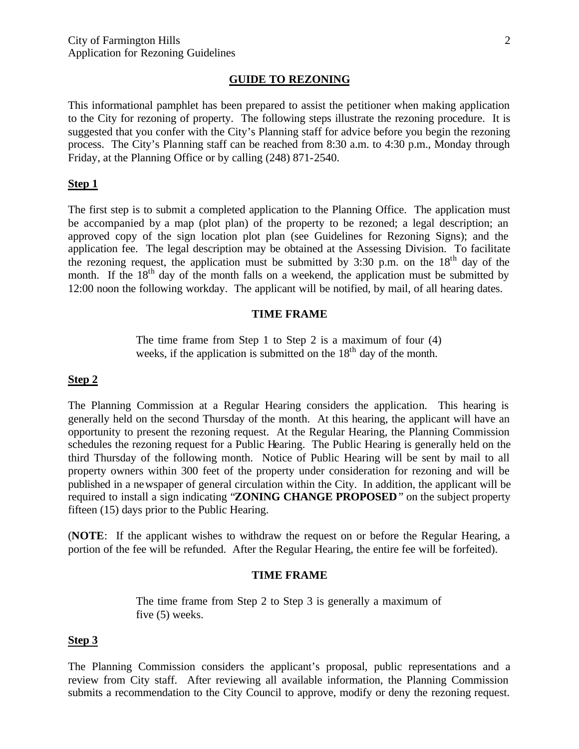#### **GUIDE TO REZONING**

This informational pamphlet has been prepared to assist the petitioner when making application to the City for rezoning of property. The following steps illustrate the rezoning procedure. It is suggested that you confer with the City's Planning staff for advice before you begin the rezoning process. The City's Planning staff can be reached from 8:30 a.m. to 4:30 p.m., Monday through Friday, at the Planning Office or by calling (248) 871-2540.

#### **Step 1**

The first step is to submit a completed application to the Planning Office. The application must be accompanied by a map (plot plan) of the property to be rezoned; a legal description; an approved copy of the sign location plot plan (see Guidelines for Rezoning Signs); and the application fee. The legal description may be obtained at the Assessing Division. To facilitate the rezoning request, the application must be submitted by 3:30 p.m. on the  $18<sup>th</sup>$  day of the month. If the  $18<sup>th</sup>$  day of the month falls on a weekend, the application must be submitted by 12:00 noon the following workday. The applicant will be notified, by mail, of all hearing dates.

#### **TIME FRAME**

The time frame from Step 1 to Step 2 is a maximum of four (4) weeks, if the application is submitted on the  $18<sup>th</sup>$  day of the month.

#### **Step 2**

The Planning Commission at a Regular Hearing considers the application. This hearing is generally held on the second Thursday of the month. At this hearing, the applicant will have an opportunity to present the rezoning request. At the Regular Hearing, the Planning Commission schedules the rezoning request for a Public Hearing. The Public Hearing is generally held on the third Thursday of the following month. Notice of Public Hearing will be sent by mail to all property owners within 300 feet of the property under consideration for rezoning and will be published in a newspaper of general circulation within the City. In addition, the applicant will be required to install a sign indicating "**ZONING CHANGE PROPOSED**" on the subject property fifteen (15) days prior to the Public Hearing.

(**NOTE**: If the applicant wishes to withdraw the request on or before the Regular Hearing, a portion of the fee will be refunded. After the Regular Hearing, the entire fee will be forfeited).

#### **TIME FRAME**

The time frame from Step 2 to Step 3 is generally a maximum of five (5) weeks.

#### **Step 3**

The Planning Commission considers the applicant's proposal, public representations and a review from City staff. After reviewing all available information, the Planning Commission submits a recommendation to the City Council to approve, modify or deny the rezoning request.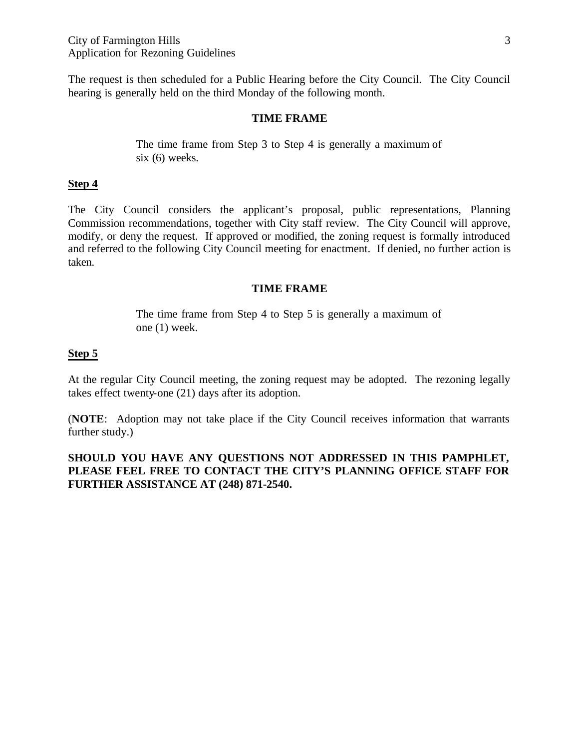The request is then scheduled for a Public Hearing before the City Council. The City Council hearing is generally held on the third Monday of the following month.

#### **TIME FRAME**

The time frame from Step 3 to Step 4 is generally a maximum of six (6) weeks.

#### **Step 4**

The City Council considers the applicant's proposal, public representations, Planning Commission recommendations, together with City staff review. The City Council will approve, modify, or deny the request. If approved or modified, the zoning request is formally introduced and referred to the following City Council meeting for enactment. If denied, no further action is taken.

#### **TIME FRAME**

The time frame from Step 4 to Step 5 is generally a maximum of one (1) week.

## **Step 5**

At the regular City Council meeting, the zoning request may be adopted. The rezoning legally takes effect twenty-one (21) days after its adoption.

(**NOTE**: Adoption may not take place if the City Council receives information that warrants further study.)

**SHOULD YOU HAVE ANY QUESTIONS NOT ADDRESSED IN THIS PAMPHLET, PLEASE FEEL FREE TO CONTACT THE CITY'S PLANNING OFFICE STAFF FOR FURTHER ASSISTANCE AT (248) 871-2540.**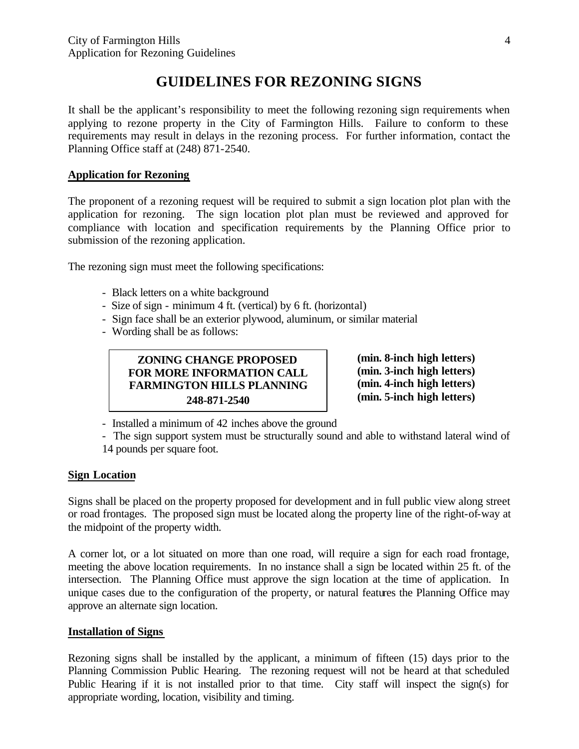# **GUIDELINES FOR REZONING SIGNS**

It shall be the applicant's responsibility to meet the following rezoning sign requirements when applying to rezone property in the City of Farmington Hills. Failure to conform to these requirements may result in delays in the rezoning process. For further information, contact the Planning Office staff at (248) 871-2540.

## **Application for Rezoning**

The proponent of a rezoning request will be required to submit a sign location plot plan with the application for rezoning. The sign location plot plan must be reviewed and approved for compliance with location and specification requirements by the Planning Office prior to submission of the rezoning application.

The rezoning sign must meet the following specifications:

- Black letters on a white background
- Size of sign minimum 4 ft. (vertical) by 6 ft. (horizontal)
- Sign face shall be an exterior plywood, aluminum, or similar material
- Wording shall be as follows:

**ZONING CHANGE PROPOSED FOR MORE INFORMATION CALL FARMINGTON HILLS PLANNING 248-871-2540**

**(min. 8-inch high letters) (min. 3-inch high letters) (min. 4-inch high letters) (min. 5-inch high letters)**

- Installed a minimum of 42 inches above the ground

- The sign support system must be structurally sound and able to withstand lateral wind of 14 pounds per square foot.

## **Sign Location**

Signs shall be placed on the property proposed for development and in full public view along street or road frontages. The proposed sign must be located along the property line of the right-of-way at the midpoint of the property width.

A corner lot, or a lot situated on more than one road, will require a sign for each road frontage, meeting the above location requirements. In no instance shall a sign be located within 25 ft. of the intersection. The Planning Office must approve the sign location at the time of application. In unique cases due to the configuration of the property, or natural features the Planning Office may approve an alternate sign location.

## **Installation of Signs**

Rezoning signs shall be installed by the applicant, a minimum of fifteen (15) days prior to the Planning Commission Public Hearing. The rezoning request will not be heard at that scheduled Public Hearing if it is not installed prior to that time. City staff will inspect the sign(s) for appropriate wording, location, visibility and timing.